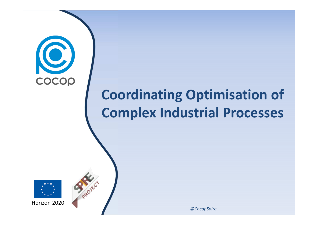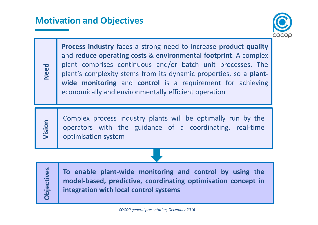

**Process industry** faces <sup>a</sup> strong need to increase **product quality** and **reduce operating costs** & **environmental footprint**. <sup>A</sup> complex plant comprises continuous and/or batch unit processes. The plant's complexity stems from its dynamic properties, so <sup>a</sup> **plantwide monitoring** and **control** is <sup>a</sup> requirement for achieving economically and environmentally efficient operation

**Vision**

**Need**

Complex process industry plants will be optimally run by the operators with the guidance of <sup>a</sup> coordinating, real-time optimisation system

**Objectives**

**To enable plant-wide monitoring and control by using the model-based, predictive, coordinating optimisation concept inintegration with local control systems**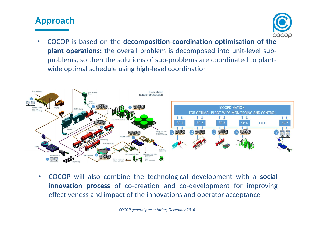## **Approach**



• COCOP is based on the **decomposition-coordination optimisation of the plant operations:** the overall problem is decomposed into unit-level subproblems, so then the solutions of sub-problems are coordinated to plantwide optimal schedule using high-level coordination



• COCOP will also combine the technological development with <sup>a</sup> **social innovation process** of co-creation and co-development for improving effectiveness and impact of the innovations and operator acceptance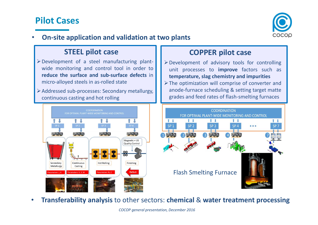## **Pilot Cases**



•**On-site application and validation at two plants**

#### **STEEL pilot case**

- Development of <sup>a</sup> steel manufacturing plant wide monitoring and control tool in order to **reduce the surface and sub-surface defects** inmicro-alloyed steels in as-rolled state
- Addressed sub-processes: Secondary metallurgy, continuous casting and hot rolling



### **COPPER pilot case**

- Development of advisory tools for controlling unit processes to **improve** factors such as **temperature, slag chemistry and impurities**
- > The optimization will comprise of converter and anode-furnace scheduling & setting target matte grades and feed rates of flash-smelting furnaces



•**Transferability analysis** to other sectors: **chemical** & **water treatment processing**

*COCOP general presentation, December 2016*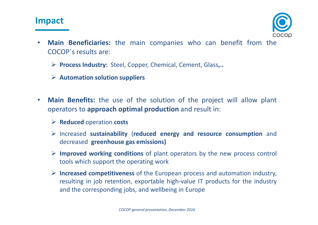## **Impact**



- •**Main Beneficiaries:** the main companies who can benefit from the COCOP´s results are:
	- **Process Industry:** Steel, Copper, Chemical, Cement, Glass**,..**
	- **Automation solution suppliers**
- • **Main Benefits:** the use of the solution of the project will allow plant operators to **approach optimal production** and result in:
	- **Reduced** operation **costs**
	- Increased **sustainability** (**reduced energy and resource consumption** and decreased **greenhouse gas emissions)**
	- **Improved working conditions** of plant operators by the new process control tools which support the operating work
	- **Increased competitiveness** of the European process and automation industry, resulting in job retention, exportable high-value IT products for the industry and the corresponding jobs, and wellbeing in Europe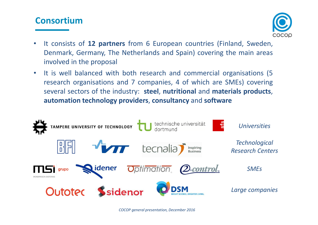# **Consortium**



- • It consists of **<sup>12</sup> partners** from <sup>6</sup> European countries (Finland, Sweden, Denmark, Germany, The Netherlands and Spain) covering the main areas involved in the proposal
- $\bullet$  It is well balanced with both research and commercial organisations (5 research organisations and <sup>7</sup> companies, <sup>4</sup> of which are SMEs) covering several sectors of the industry: **steel**, **nutritional** and **materials products**, **automation technology providers**, **consultancy** and **software**

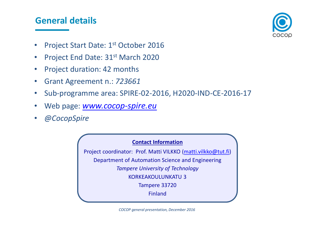## **General details**



- •Project Start Date: 1<sup>st</sup> October 2016
- •Project End Date: 31<sup>st</sup> March 2020
- •Project duration: <sup>42</sup> months
- •Grant Agreement n.: *<sup>723661</sup>*
- •Sub-programme area: SPIRE-02-2016, H2020-IND-CE-2016-17
- •Web page: *www.cocop-spire.eu*
- •*@CocopSpire*

#### **Contact Information**

Project coordinator: Prof. Matti VILKKO (matti.vilkko@tut.fi) Department of Automation Science and Engineering*Tampere University of Technology* KORKEAKOULUNKATU 3Tampere 33720Finland